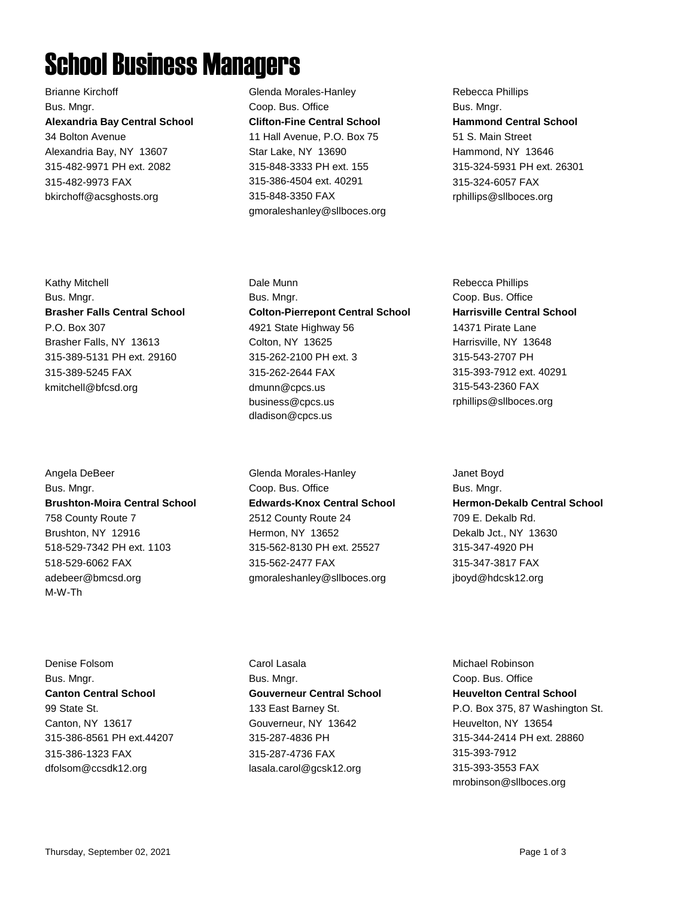## School Business Managers

Brianne Kirchoff Bus. Mngr. **Alexandria Bay Central School** 34 Bolton Avenue Alexandria Bay, NY 13607 315-482-9971 PH ext. 2082 315-482-9973 FAX bkirchoff@acsghosts.org

Kathy Mitchell Bus. Mngr. **Brasher Falls Central School** P.O. Box 307 Brasher Falls, NY 13613 315-389-5131 PH ext. 29160 315-389-5245 FAX kmitchell@bfcsd.org

Angela DeBeer Bus. Mngr. **Brushton-Moira Central School** 758 County Route 7 Brushton, NY 12916 518-529-7342 PH ext. 1103 518-529-6062 FAX adebeer@bmcsd.org M-W-Th

Denise Folsom Bus. Mngr. **Canton Central School** 99 State St. Canton, NY 13617 315-386-8561 PH ext.44207 315-386-1323 FAX dfolsom@ccsdk12.org

Glenda Morales-Hanley Coop. Bus. Office **Clifton-Fine Central School** 11 Hall Avenue, P.O. Box 75 Star Lake, NY 13690 315-848-3333 PH ext. 155 315-386-4504 ext. 40291 315-848-3350 FAX gmoraleshanley@sllboces.org Rebecca Phillips Bus. Mngr. **Hammond Central School** 51 S. Main Street Hammond, NY 13646 315-324-5931 PH ext. 26301 315-324-6057 FAX rphillips@sllboces.org

Dale Munn Bus. Mngr. **Colton-Pierrepont Central School** 4921 State Highway 56 Colton, NY 13625 315-262-2100 PH ext. 3 315-262-2644 FAX dmunn@cpcs.us business@cpcs.us dladison@cpcs.us

Glenda Morales-Hanley Coop. Bus. Office **Edwards-Knox Central School** 2512 County Route 24 Hermon, NY 13652 315-562-8130 PH ext. 25527 315-562-2477 FAX gmoraleshanley@sllboces.org

Rebecca Phillips Coop. Bus. Office **Harrisville Central School** 14371 Pirate Lane Harrisville, NY 13648 315-543-2707 PH 315-393-7912 ext. 40291 315-543-2360 FAX rphillips@sllboces.org

Janet Boyd Bus. Mngr. **Hermon-Dekalb Central School** 709 E. Dekalb Rd. Dekalb Jct., NY 13630 315-347-4920 PH 315-347-3817 FAX jboyd@hdcsk12.org

Carol Lasala Bus. Mngr. **Gouverneur Central School** 133 East Barney St. Gouverneur, NY 13642 315-287-4836 PH 315-287-4736 FAX lasala.carol@gcsk12.org

Michael Robinson Coop. Bus. Office **Heuvelton Central School** P.O. Box 375, 87 Washington St. Heuvelton, NY 13654 315-344-2414 PH ext. 28860 315-393-7912 315-393-3553 FAX mrobinson@sllboces.org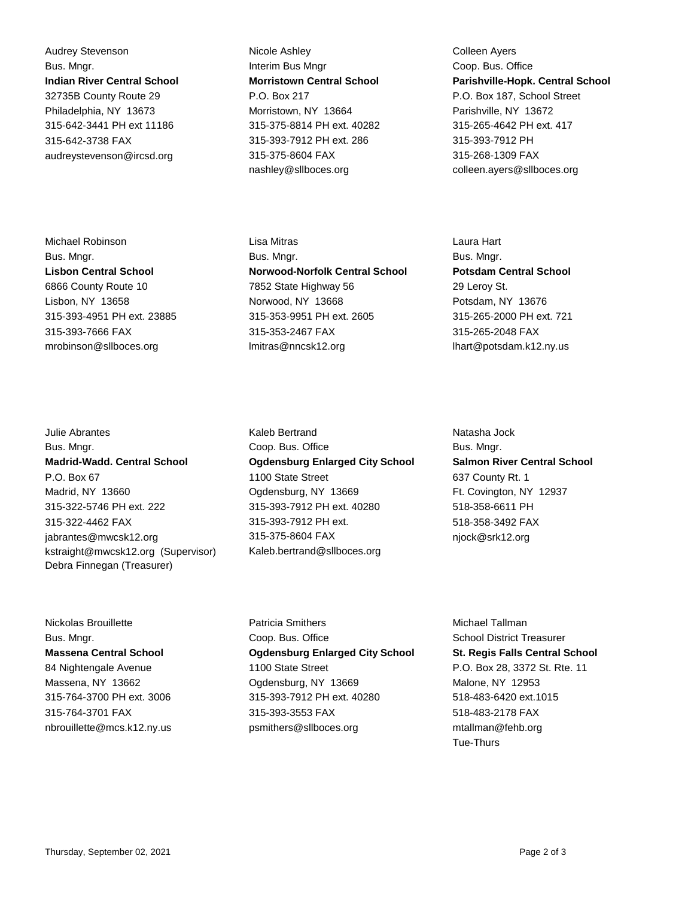Audrey Stevenson Bus. Mngr. **Indian River Central School** 32735B County Route 29 Philadelphia, NY 13673 315-642-3441 PH ext 11186 315-642-3738 FAX audreystevenson@ircsd.org

Michael Robinson Bus. Mngr. **Lisbon Central School** 6866 County Route 10 Lisbon, NY 13658 315-393-4951 PH ext. 23885 315-393-7666 FAX mrobinson@sllboces.org

Julie Abrantes Bus. Mngr. **Madrid-Wadd. Central School** P.O. Box 67 Madrid, NY 13660 315-322-5746 PH ext. 222 315-322-4462 FAX jabrantes@mwcsk12.org kstraight@mwcsk12.org (Supervisor) Debra Finnegan (Treasurer)

Nickolas Brouillette Bus. Mngr. **Massena Central School** 84 Nightengale Avenue Massena, NY 13662 315-764-3700 PH ext. 3006 315-764-3701 FAX nbrouillette@mcs.k12.ny.us

Nicole Ashley Interim Bus Mngr **Morristown Central School** P.O. Box 217 Morristown, NY 13664 315-375-8814 PH ext. 40282 315-393-7912 PH ext. 286 315-375-8604 FAX nashley@sllboces.org

Colleen Ayers Coop. Bus. Office **Parishville-Hopk. Central School** P.O. Box 187, School Street Parishville, NY 13672 315-265-4642 PH ext. 417 315-393-7912 PH 315-268-1309 FAX colleen.ayers@sllboces.org

Lisa Mitras Bus. Mngr. **Norwood-Norfolk Central School** 7852 State Highway 56 Norwood, NY 13668 315-353-9951 PH ext. 2605 315-353-2467 FAX lmitras@nncsk12.org

Kaleb Bertrand Coop. Bus. Office **Ogdensburg Enlarged City School** 1100 State Street Ogdensburg, NY 13669 315-393-7912 PH ext. 40280 315-393-7912 PH ext. 315-375-8604 FAX Kaleb.bertrand@sllboces.org

Laura Hart Bus. Mngr. **Potsdam Central School** 29 Leroy St. Potsdam, NY 13676 315-265-2000 PH ext. 721 315-265-2048 FAX lhart@potsdam.k12.ny.us

Natasha Jock Bus. Mngr. **Salmon River Central School** 637 County Rt. 1 Ft. Covington, NY 12937 518-358-6611 PH 518-358-3492 FAX njock@srk12.org

Patricia Smithers Coop. Bus. Office **Ogdensburg Enlarged City School** 1100 State Street Ogdensburg, NY 13669 315-393-7912 PH ext. 40280 315-393-3553 FAX psmithers@sllboces.org

Michael Tallman School District Treasurer **St. Regis Falls Central School** P.O. Box 28, 3372 St. Rte. 11 Malone, NY 12953 518-483-6420 ext.1015 518-483-2178 FAX mtallman@fehb.org Tue-Thurs